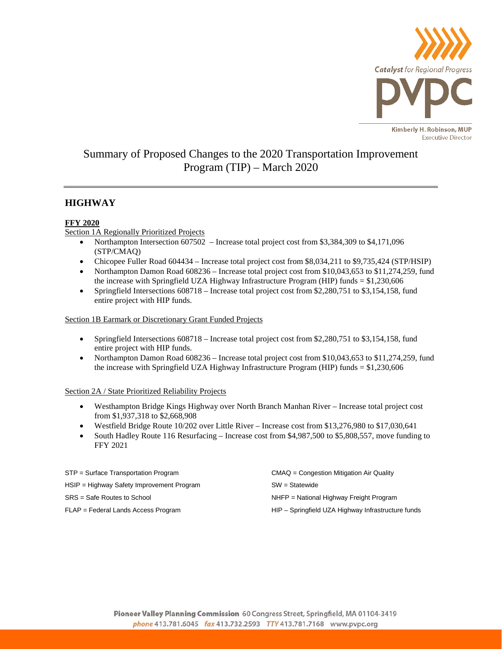

# Summary of Proposed Changes to the 2020 Transportation Improvement Program (TIP) – March 2020

# **HIGHWAY**

## **FFY 2020**

Section 1A Regionally Prioritized Projects

- Northampton Intersection 607502 Increase total project cost from \$3,384,309 to \$4,171,096 (STP/CMAQ)
- Chicopee Fuller Road 604434 Increase total project cost from \$8,034,211 to \$9,735,424 (STP/HSIP)
- Northampton Damon Road 608236 Increase total project cost from \$10,043,653 to \$11,274,259, fund the increase with Springfield UZA Highway Infrastructure Program (HIP) funds = \$1,230,606
- Springfield Intersections 608718 Increase total project cost from \$2,280,751 to \$3,154,158, fund entire project with HIP funds.

### Section 1B Earmark or Discretionary Grant Funded Projects

- Springfield Intersections 608718 Increase total project cost from \$2,280,751 to \$3,154,158, fund entire project with HIP funds.
- Northampton Damon Road 608236 Increase total project cost from \$10,043,653 to \$11,274,259, fund the increase with Springfield UZA Highway Infrastructure Program (HIP) funds = \$1,230,606

### Section 2A / State Prioritized Reliability Projects

- Westhampton Bridge Kings Highway over North Branch Manhan River Increase total project cost from \$1,937,318 to \$2,668,908
- Westfield Bridge Route 10/202 over Little River Increase cost from \$13,276,980 to \$17,030,641
- South Hadley Route 116 Resurfacing Increase cost from \$4,987,500 to \$5,808,557, move funding to FFY 2021

| STP = Surface Transportation Program      | CMAQ = Congestion Mitigation Air Quality           |
|-------------------------------------------|----------------------------------------------------|
| HSIP = Highway Safety Improvement Program | $SW = Statement$                                   |
| SRS = Safe Routes to School               | NHFP = National Highway Freight Program            |
| FLAP = Federal Lands Access Program       | HIP - Springfield UZA Highway Infrastructure funds |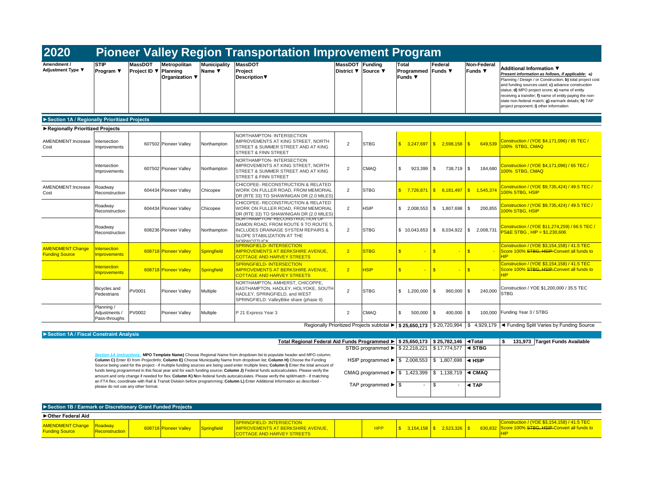| 2020                                             | <b>Pioneer Valley Region Transportation Improvement Program</b> |                                         |                                       |                               |                                                                                                                                                                            |                              |                     |                                               |                           |                               |                                                                                                                                                                                                                                                                                                                                                                                                                  |
|--------------------------------------------------|-----------------------------------------------------------------|-----------------------------------------|---------------------------------------|-------------------------------|----------------------------------------------------------------------------------------------------------------------------------------------------------------------------|------------------------------|---------------------|-----------------------------------------------|---------------------------|-------------------------------|------------------------------------------------------------------------------------------------------------------------------------------------------------------------------------------------------------------------------------------------------------------------------------------------------------------------------------------------------------------------------------------------------------------|
| Amendment /<br>Adjustment Type ▼                 | <b>STIP</b><br>Program ▼                                        | <b>MassDOT</b><br>Project ID ▼ Planning | <b>Metropolitan</b><br>Organization ▼ | <b>Municipality</b><br>Name ▼ | <b>MassDOT</b><br>Project<br>Description                                                                                                                                   | MassDOT<br><b>District</b> ▼ | Fundina<br>Source ▼ | Total<br>Programmed Funds ▼<br><b>Funds</b> ▼ | Federal                   | Non-Federal<br><b>Funds ▼</b> | Additional Information ▼<br>Present information as follows, if applicable: a)<br>Planning / Design / or Construction; b) total project cost<br>and funding sources used; c) advance construction<br>status: d) MPO project score: e) name of entity<br>receiving a transfer; f) name of entity paying the non-<br>state non-federal match; g) earmark details; h) TAP<br>project proponent; i) other information |
| Section 1A / Regionally Prioritized Projects     |                                                                 |                                         |                                       |                               |                                                                                                                                                                            |                              |                     |                                               |                           |                               |                                                                                                                                                                                                                                                                                                                                                                                                                  |
| Regionally Prioritized Projects                  |                                                                 |                                         |                                       |                               |                                                                                                                                                                            |                              |                     |                                               |                           |                               |                                                                                                                                                                                                                                                                                                                                                                                                                  |
| AMENDMENT:Increase<br>Cost                       | Intersection<br>Improvements                                    |                                         | 607502 Pioneer Valley                 | Northampton                   | NORTHAMPTON- INTERSECTION<br>IMPROVEMENTS AT KING STREET, NORTH<br>STREET & SUMMER STREET AND AT KING<br>STREET & FINN STREET                                              | $\overline{2}$               | <b>STBG</b>         | 3.247.697                                     | S<br>2.598.158            | $\mathbf{s}$<br>649.539       | Construction / (YOE \$4,171,096) / 65 TEC /<br>100% STBG, CMAQ                                                                                                                                                                                                                                                                                                                                                   |
|                                                  | Intersection<br><b>Improvements</b>                             |                                         | 607502 Pioneer Valley                 | Northampton                   | NORTHAMPTON- INTERSECTION<br>IMPROVEMENTS AT KING STREET. NORTH<br>STREET & SUMMER STREET AND AT KING<br><b>STREET &amp; FINN STREET</b>                                   | $\overline{2}$               | CMAQ                | \$<br>923.399                                 | \$.<br>738.719            | $\sqrt{3}$<br>184.680         | Construction / (YOE \$4,171,096) / 65 TEC /<br>100% STBG. CMAO                                                                                                                                                                                                                                                                                                                                                   |
| AMENDMENT:Increase<br>Cost                       | Roadway<br>Reconstruction                                       |                                         | 604434 Pioneer Valley                 | Chicopee                      | CHICOPEE- RECONSTRUCTION & RELATED<br>WORK ON FULLER ROAD. FROM MEMORIAL<br>DR (RTE 33) TO SHAWINIGAN DR (2.0 MILES)                                                       | 2                            | <b>STBG</b>         | 7,726,871                                     | S<br>6,181,497            | $\sqrt{3}$<br>1.545.374       | Construction / (YOE \$9,735,424) / 49.5 TEC /<br>100% STBG, HSIP                                                                                                                                                                                                                                                                                                                                                 |
|                                                  | Roadway<br>Reconstruction                                       |                                         | 604434 Pioneer Valley                 | Chicopee                      | CHICOPEE- RECONSTRUCTION & RELATED<br>WORK ON FULLER ROAD. FROM MEMORIAL<br>DR (RTE 33) TO SHAWINIGAN DR (2.0 MILES)                                                       | $\overline{2}$               | <b>HSIP</b>         | \$2,008,553                                   | $\mathbb{S}$<br>1.807.698 | l \$<br>200,855               | Construction / (YOE \$9,735,424) / 49.5 TEC /<br>100% STBG, HSIP                                                                                                                                                                                                                                                                                                                                                 |
|                                                  | Roadway<br>Reconstruction                                       |                                         | 608236 Pioneer Valley                 | Northampton                   | NORTHAMPTON-RECONSTRUCTION OF<br>DAMON ROAD. FROM ROUTE 9 TO ROUTE 5.<br><b>INCLUDES DRAINAGE SYSTEM REPAIRS &amp;</b><br>SLOPE STABILIZATION AT THE<br><b>NORWOTTLICK</b> | 2                            | <b>STBG</b>         | \$10.043.653                                  | $\mathbb{S}$<br>8.034.922 | $\mathbf{s}$<br>2,008,731     | Construction / (YOE \$11,274,259) / 66.5 TEC /<br><b>PS&amp;E STBG . HIP = \$1.230.606</b>                                                                                                                                                                                                                                                                                                                       |
| <b>AMENDMENT:Change</b><br><b>Funding Source</b> | ntersection<br><b>Improvements</b>                              |                                         | 608718 Pioneer Valley                 | Springfield                   | <b>SPRINGFIELD-INTERSECTION</b><br><b>IMPROVEMENTS AT BERKSHIRE AVENUE.</b><br><b>COTTAGE AND HARVEY STREETS</b>                                                           | 2 <sup>1</sup>               | <b>STBG</b>         | $\overline{\mathbb{S}}$                       | $\mathbf{s}$              | $\mathbf{s}$<br>÷             | Construction / (YOE \$3,154,158) / 41.5 TEC<br>Score 100% STBG, HSIP Convert all funds to<br><b>HIP</b>                                                                                                                                                                                                                                                                                                          |
|                                                  | <b>Intersection</b><br><b>Improvements</b>                      |                                         | 608718 Pioneer Valley                 | <b>Springfield</b>            | <b>SPRINGFIELD-INTERSECTION</b><br><b>IMPROVEMENTS AT BERKSHIRE AVENUE.</b><br><b>COTTAGE AND HARVEY STREETS</b>                                                           | 2 <sup>1</sup>               | <b>HSIP</b>         | $\mathbf{s}$                                  | $\mathbf{s}$              | $\mathbf{s}$                  | Construction / (YOE \$3.154.158) / 41.5 TEC<br>Score 100% STBG, HSIP Convert all funds to<br><b>HIP</b>                                                                                                                                                                                                                                                                                                          |
|                                                  | Bicycles and<br>Pedestrians                                     | PV0001                                  | <b>Pioneer Valley</b>                 | Multiple                      | NORTHAMPTON, AMHERST, CHICOPPE,<br>EASTHAMPTON, HADLEY, HOLYOKE, SOUTH<br>HADLEY, SPRINGFIELD, and WEST<br>SPRINGFIELD: ValleyBike share (phase II)                        | $\overline{2}$               | <b>STBG</b>         | $\mathbb{S}$<br>1.200.000                     | S<br>960,000              | $\mathbf{s}$<br>240.000       | Construction / YOE \$1,200,000 / 35.5 TEC<br><b>STBG</b>                                                                                                                                                                                                                                                                                                                                                         |
|                                                  | Planning /<br>Adjustments /<br>Pass-throughs                    | PV0002                                  | Pioneer Valley                        | Multiple                      | P 21 Express Year 3                                                                                                                                                        | $\overline{2}$               | CMAQ                | \$<br>500,000                                 | s.<br>400,000             | l \$                          | 100,000 Funding Year 3 / STBG                                                                                                                                                                                                                                                                                                                                                                                    |
|                                                  |                                                                 |                                         |                                       |                               |                                                                                                                                                                            |                              |                     |                                               |                           |                               | Regionally Prioritized Projects subtotal ▶   \$25.650.173   \$20.720.994   \$4.929.179   < Funding Split Varies by Funding Source                                                                                                                                                                                                                                                                                |

| Section 1A / Fiscal Constraint Analysis |  |  |  |
|-----------------------------------------|--|--|--|
|-----------------------------------------|--|--|--|

 **\$ 25,650,173 \$ 25,782,146 ◄Total \$ 131,973 Target Funds Available Total Regional Federal Aid Funds Programmed ►**

*Section 1A instructions:* **MPO Template Name)** Choose Regional Name from dropdown list to populate header and MPO column; **Column C)** Enter ID from ProjectInfo; **Column E)** Choose Municipality Name from dropdown list; **Column H)** Choose the Funding Source being used for the project - if multiple funding sources are being used enter multiple lines; **Column I)** Enter the total amount of<br>funds being programmed in this fiscal year and for each funding source; **Column J)** an FTA flex, coordinate with Rail & Transit Division before programming; **Column L)** Enter Additional Information as described please do not use any other format.

| $F$ ulius Flouralillieu $F$ 3 23.030.173               | 323.102.140                                   | ч готаг |
|--------------------------------------------------------|-----------------------------------------------|---------|
| STBG programmed ▶ \$ 22,218,221                        | $\frac{1}{2}$ \$17,774,577 $\frac{1}{2}$ STBG |         |
| HSIP programmed ▶ \$ 2,008,553 \$ 1,807,698 4 HSIP     |                                               |         |
| CMAQ programmed ► \$ 1,423,399   \$ 1,138,719   < CMAQ |                                               |         |
|                                                        | \$                                            | ◀ TAP   |

| Section 1B / Earmark or Discretionary Grant Funded Projects |                       |  |                       |             |                                                                                                                   |  |  |                        |  |  |                                                                                                   |
|-------------------------------------------------------------|-----------------------|--|-----------------------|-------------|-------------------------------------------------------------------------------------------------------------------|--|--|------------------------|--|--|---------------------------------------------------------------------------------------------------|
| ▶ Other Federal Aid                                         |                       |  |                       |             |                                                                                                                   |  |  |                        |  |  |                                                                                                   |
| AMENDMENT:Change<br><b>Funding Source</b>                   | <b>Peconstruction</b> |  | 608718 Pioneer Valley | Springfield | <b>ISPRINGFIELD-INTERSECTION</b><br><b>IMPROVEMENTS AT BERKSHIRE AVENUE.</b><br><b>COTTAGE AND HARVEY STREETS</b> |  |  | $3,154,158$ $\sqrt{$}$ |  |  | Construction / (YOE \$3,154,158) / 41.5 TEC<br>630.832 Score 100% STBG, HSIP Convert all funds to |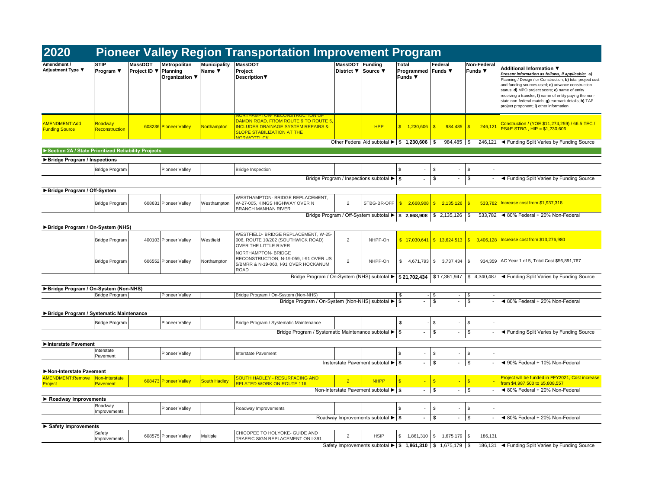| 2020                                                |                                   |                                                                              |                               | <b>Pioneer Valley Region Transportation Improvement Program</b>                                                                                |                                      |                                                                      |                                     |                                |                                |                                                                                                                                                                                                                                                                                                                                                                                                                  |
|-----------------------------------------------------|-----------------------------------|------------------------------------------------------------------------------|-------------------------------|------------------------------------------------------------------------------------------------------------------------------------------------|--------------------------------------|----------------------------------------------------------------------|-------------------------------------|--------------------------------|--------------------------------|------------------------------------------------------------------------------------------------------------------------------------------------------------------------------------------------------------------------------------------------------------------------------------------------------------------------------------------------------------------------------------------------------------------|
| Amendment /<br>Adjustment Type ▼                    | <b>STIP</b><br>Program ▼          | <b>Metropolitan</b><br>MassDOT<br>Project ID ▼<br>Planning<br>Organization ▼ | <b>Municipality</b><br>Name ▼ | <b>MassDOT</b><br>Project<br><b>Description</b> ▼                                                                                              | MassDOT Funding<br><b>District</b> ▼ | Source ▼                                                             | Total<br>Programmed<br>Funds $\Psi$ | Federal<br>Funds ▼             | Non-Federal<br><b>Funds ▼</b>  | Additional Information ▼<br>Present information as follows, if applicable: a)<br>Planning / Design / or Construction; b) total project cost<br>and funding sources used; c) advance construction<br>status; d) MPO project score; e) name of entity<br>receiving a transfer; f) name of entity paying the non-<br>state non-federal match; g) earmark details; h) TAP<br>project proponent; i) other information |
| <b>AMENDMENT:Add</b><br><b>Funding Source</b>       | Roadway<br>Reconstruction         | 608236 Pioneer Valley                                                        | <b>Northampton</b>            | DAMON ROAD, FROM ROUTE 9 TO ROUTE 5<br><b>NCLUDES DRAINAGE SYSTEM REPAIRS &amp;</b><br><b>SLOPE STABILIZATION AT THE</b><br><b>IOPWOTTLICK</b> |                                      | <b>HPP</b>                                                           | \$ 1,230,606                        | $\mathbf{s}$<br>984.485        | $\sqrt{3}$<br>246,121          | Construction / (YOE \$11,274,259) / 66.5 TEC<br>PS&E STBG, HIP = \$1,230,606                                                                                                                                                                                                                                                                                                                                     |
|                                                     |                                   |                                                                              |                               |                                                                                                                                                |                                      | Other Federal Aid subtotal $\blacktriangleright$   \$ 1,230,606   \$ |                                     | 984,485 \$                     |                                | 246,121  ◀ Funding Split Varies by Funding Source                                                                                                                                                                                                                                                                                                                                                                |
| Section 2A / State Prioritized Reliability Projects |                                   |                                                                              |                               |                                                                                                                                                |                                      |                                                                      |                                     |                                |                                |                                                                                                                                                                                                                                                                                                                                                                                                                  |
| ▶ Bridge Program / Inspections                      |                                   |                                                                              |                               |                                                                                                                                                |                                      |                                                                      |                                     |                                |                                |                                                                                                                                                                                                                                                                                                                                                                                                                  |
|                                                     | <b>Bridge Program</b>             | Pioneer Valley                                                               |                               | <b>Bridge Inspection</b>                                                                                                                       |                                      |                                                                      | \$                                  | \$<br>÷.                       | $\sqrt{3}$                     |                                                                                                                                                                                                                                                                                                                                                                                                                  |
|                                                     |                                   |                                                                              |                               | Bridge Program / Inspections subtotal ▶ S                                                                                                      |                                      |                                                                      |                                     | \$                             | \$                             | ◀ Funding Split Varies by Funding Source                                                                                                                                                                                                                                                                                                                                                                         |
| Bridge Program / Off-System                         |                                   |                                                                              |                               |                                                                                                                                                |                                      |                                                                      |                                     |                                |                                |                                                                                                                                                                                                                                                                                                                                                                                                                  |
|                                                     | <b>Bridge Program</b>             | 608631<br><b>Pioneer Valley</b>                                              | Westhampton                   | WESTHAMPTON- BRIDGE REPLACEMENT,<br>W-27-005, KINGS HIGHWAY OVER N<br><b>BRANCH MANHAN RIVER</b>                                               | $\overline{2}$                       | STBG-BR-OFF                                                          | $\mathsf{s}$<br>2,668,908           | \$2,135,126                    | 533,782<br>$\mathbf{s}$        | Increase cost from \$1,937,318                                                                                                                                                                                                                                                                                                                                                                                   |
|                                                     |                                   |                                                                              |                               | Bridge Program / Off-System subtotal ▶ \$ 2,668,908                                                                                            |                                      |                                                                      |                                     | \$2,135,126                    | 533,782<br>l \$                | ◀ 80% Federal + 20% Non-Federal                                                                                                                                                                                                                                                                                                                                                                                  |
| Bridge Program / On-System (NHS)                    |                                   |                                                                              |                               |                                                                                                                                                |                                      |                                                                      |                                     |                                |                                |                                                                                                                                                                                                                                                                                                                                                                                                                  |
|                                                     | <b>Bridge Program</b>             | 400103 Pioneer Valley                                                        | Westfield                     | WESTFIELD- BRIDGE REPLACEMENT, W-25-<br>006, ROUTE 10/202 (SOUTHWICK ROAD)<br>OVER THE LITTLE RIVER                                            | $\overline{2}$                       | NHPP-On                                                              | \$17,030,641                        | \$13,624,513                   | $\sqrt{3}$<br>3,406,128        | Increase cost from \$13,276,980                                                                                                                                                                                                                                                                                                                                                                                  |
|                                                     | <b>Bridge Program</b>             | 606552 Pioneer Valley                                                        | Northampton                   | NORTHAMPTON- BRIDGE<br>RECONSTRUCTION, N-19-059, I-91 OVER US<br>5/BMRR & N-19-060, I-91 OVER HOCKANUM<br><b>ROAD</b>                          | $\overline{2}$                       | NHPP-On                                                              | \$                                  | 4,671,793 \$ 3,737,434         | 934.359<br>$\mathbf{s}$        | AC Year 1 of 5, Total Cost \$56,891,767                                                                                                                                                                                                                                                                                                                                                                          |
|                                                     |                                   |                                                                              |                               | Bridge Program / On-System (NHS) subtotal $\blacktriangleright$   \$ 21,702,434   \$ 17,361,947   \$ 4,340,487                                 |                                      |                                                                      |                                     |                                |                                | ◀ Funding Split Varies by Funding Source                                                                                                                                                                                                                                                                                                                                                                         |
| Bridge Program / On-System (Non-NHS)                |                                   |                                                                              |                               |                                                                                                                                                |                                      |                                                                      |                                     |                                |                                |                                                                                                                                                                                                                                                                                                                                                                                                                  |
|                                                     | <b>Bridge Program</b>             | Pioneer Valley                                                               |                               | Bridge Program / On-System (Non-NHS)                                                                                                           |                                      |                                                                      | \$                                  | $-1$ \$<br>$\sim$              | $\sqrt{3}$                     |                                                                                                                                                                                                                                                                                                                                                                                                                  |
|                                                     |                                   |                                                                              |                               | Bridge Program / On-System (Non-NHS) subtotal ▶ \$                                                                                             |                                      |                                                                      | $\blacksquare$                      | \$<br>$\blacksquare$           | \$<br>$\overline{\phantom{a}}$ | ◀ 80% Federal + 20% Non-Federal                                                                                                                                                                                                                                                                                                                                                                                  |
| Bridge Program / Systematic Maintenance             |                                   |                                                                              |                               |                                                                                                                                                |                                      |                                                                      |                                     |                                |                                |                                                                                                                                                                                                                                                                                                                                                                                                                  |
|                                                     | <b>Bridge Program</b>             | <b>Pioneer Valley</b>                                                        |                               | Bridge Program / Systematic Maintenance                                                                                                        |                                      |                                                                      | \$                                  | $\mathbb S$<br>÷.              | $\mathbf{s}$                   |                                                                                                                                                                                                                                                                                                                                                                                                                  |
|                                                     |                                   |                                                                              |                               | Bridge Program / Systematic Maintenance subtotal ▶ S                                                                                           |                                      |                                                                      |                                     | \$<br>$\overline{\phantom{a}}$ | \$                             | ◀ Funding Split Varies by Funding Source                                                                                                                                                                                                                                                                                                                                                                         |
| Interstate Pavement                                 |                                   |                                                                              |                               |                                                                                                                                                |                                      |                                                                      |                                     |                                |                                |                                                                                                                                                                                                                                                                                                                                                                                                                  |
|                                                     | Interstate                        | Pioneer Valley                                                               |                               | Interstate Pavement                                                                                                                            |                                      |                                                                      | \$                                  | \$<br>÷.                       | $\sqrt{3}$                     |                                                                                                                                                                                                                                                                                                                                                                                                                  |
|                                                     | Pavement                          |                                                                              |                               |                                                                                                                                                |                                      | Insterstate Pavement subtotal ▶ \$                                   |                                     | \$<br>$\overline{\phantom{a}}$ | $\sqrt{3}$                     | ◀ 90% Federal + 10% Non-Federal                                                                                                                                                                                                                                                                                                                                                                                  |
| Non-Interstate Pavement                             |                                   |                                                                              |                               |                                                                                                                                                |                                      |                                                                      |                                     |                                |                                |                                                                                                                                                                                                                                                                                                                                                                                                                  |
| <b>AMENDMENT:Remove</b><br>Project                  | Non-Interstate<br><b>Pavement</b> | 608473 Pioneer Valley                                                        | <b>South Hadley</b>           | SOUTH HADLEY - RESURFACING AND<br>RELATED WORK ON ROUTE 116                                                                                    | $\overline{2}$                       | <b>NHPP</b>                                                          | S                                   | $\mathbf{s}$                   | $\sqrt{3}$                     | Project will be funded in FFY2021, Cost increase<br>from \$4,987,500 to \$5,808,557                                                                                                                                                                                                                                                                                                                              |
|                                                     |                                   |                                                                              |                               |                                                                                                                                                |                                      | Non-Interstate Pavement subtotal ▶ S                                 | $\sim$                              | \$<br>$\sim$                   | $\sqrt{3}$                     | ◀ 80% Federal + 20% Non-Federal                                                                                                                                                                                                                                                                                                                                                                                  |
| Roadway Improvements                                |                                   |                                                                              |                               |                                                                                                                                                |                                      |                                                                      |                                     |                                |                                |                                                                                                                                                                                                                                                                                                                                                                                                                  |
|                                                     | Roadway<br>Improvements           | Pioneer Valley                                                               |                               | Roadway Improvements                                                                                                                           |                                      |                                                                      | \$<br>$\sim$                        | s.<br>÷.                       | $\sqrt{3}$                     |                                                                                                                                                                                                                                                                                                                                                                                                                  |
|                                                     |                                   |                                                                              |                               |                                                                                                                                                |                                      | Roadway Improvements subtotal $\blacktriangleright$ \$               |                                     | $-1$ s<br>$\sim$               | $\sqrt{3}$<br>$\blacksquare$   | ◀ 80% Federal + 20% Non-Federal                                                                                                                                                                                                                                                                                                                                                                                  |
| Safety Improvements                                 |                                   |                                                                              |                               |                                                                                                                                                |                                      |                                                                      |                                     |                                |                                |                                                                                                                                                                                                                                                                                                                                                                                                                  |
|                                                     | Safety<br>Improvements            | 608575 Pioneer Valley                                                        | Multiple                      | CHICOPEE TO HOLYOKE- GUIDE AND<br>TRAFFIC SIGN REPLACEMENT ON I-391                                                                            | $\overline{2}$                       | <b>HSIP</b>                                                          | \$1,861,310                         | \$ 1,675,179                   | $\sqrt{3}$<br>186,131          |                                                                                                                                                                                                                                                                                                                                                                                                                  |
|                                                     |                                   |                                                                              |                               |                                                                                                                                                |                                      | Safety Improvements subtotal ▶   \$ 1,861,310   \$ 1,675,179   \$    |                                     |                                |                                | 186,131 + Funding Split Varies by Funding Source                                                                                                                                                                                                                                                                                                                                                                 |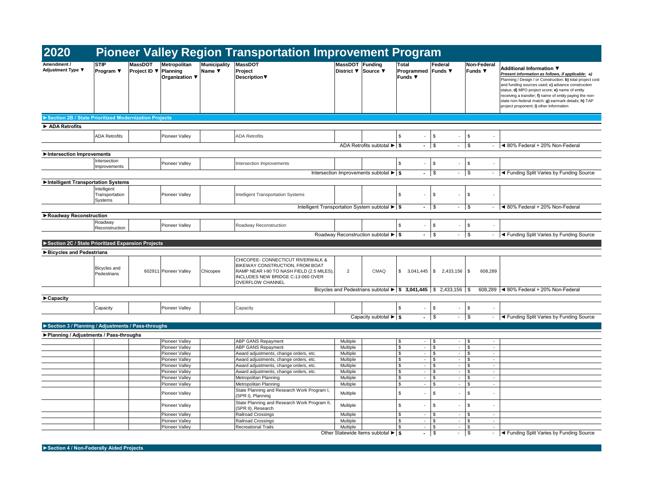| <b>STIP</b><br>MassDOT<br>Metropolitan<br><b>Municipality</b><br><b>MassDOT</b><br>MassDOT Funding<br>Total<br>Federal<br>Non-Federal<br>Amendment /<br>Additional Information ▼<br>Adjustment Type ▼<br>Project ID ▼ Planning<br><b>Funds ▼</b><br>Program ▼<br>Name ▼<br>Project<br>District ▼<br>Source ▼<br>Programmed Funds ▼<br>Present information as follows, if applicable: a)<br>Description<br><b>Funds ▼</b><br>Organization ▼<br>Planning / Design / or Construction; b) total project cost<br>and funding sources used; c) advance construction<br>status; d) MPO project score; e) name of entity<br>receiving a transfer; f) name of entity paying the non-<br>state non-federal match; g) earmark details; h) TAP<br>project proponent; i) other information<br>Section 2B / State Prioritized Modernization Projects<br>ADA Retrofits<br>\$<br>$\mathbb S$<br>$\sqrt{S}$<br><b>ADA Retrofits</b><br><b>ADA Retrofits</b><br><b>Pioneer Valley</b><br>÷,<br>$ \sqrt{3}$<br>$\sqrt{S}$<br>ADA Retrofits subtotal ▶ S<br>◀ 80% Federal + 20% Non-Federal<br>Intersection Improvements<br>Intersection<br>$\mathbb{S}$<br>\$<br><b>Pioneer Valley</b><br>Intersection Improvements<br>\$<br>Improvements<br>$-1$ s<br>$-$ \$<br>Intersection Improvements subtotal $\blacktriangleright$ \$<br>- <a>I<br/> <a>I<br/> <a>I<br/> <a>I<br/> <a>I<br/> <a>I<br/> <a>I<br/> <a>I</a></a>I</a></a>I</a></a>I</a></a> IIIIIIIIIIII<br>Intelligent Transportation Systems<br>Intelligent<br>\$<br>$\frac{3}{2}$<br>Pioneer Valley<br>Intelligent Transportation Systems<br>Transportation<br>\$<br>٠<br>٠<br>Systems<br>Intelligent Transportation System subtotal ▶ S<br>$-1$ s<br>$-$ \$<br>◀ 80% Federal + 20% Non-Federal<br>Roadway Reconstruction<br>Roadway<br>$\mathbb{S}$<br>$\sqrt{S}$<br>Pioneer Valley<br>Roadway Reconstruction<br>l \$<br>$\overline{\phantom{a}}$<br>$\overline{\phantom{a}}$<br>Reconstruction<br>$ \sqrt{s}$<br>$-1$ \$<br>- Funding Split Varies by Funding Source<br>Roadway Reconstruction subtotal ▶ \$<br>Section 2C / State Prioritized Expansion Projects<br>Bicycles and Pedestrians<br>CHICOPEE- CONNECTICUT RIVERWALK &<br>BIKEWAY CONSTRUCTION. FROM BOAT<br>Bicycles and<br>602911 Pioneer Valley<br>Chicopee<br>RAMP NEAR I-90 TO NASH FIELD (2.5 MILES).<br>$\overline{2}$<br>CMAQ<br>608,289<br>Pedestrians<br>INCLUDES NEW BRIDGE C-13-060 OVER<br><b>OVERFLOW CHANNEL</b><br>Bicycles and Pedestrians subtotal $\blacktriangleright$ \$ 3,041,445 \$ 2,433,156 \$<br>608,289 <4 80% Federal + 20% Non-Federal<br>$\blacktriangleright$ Capacity<br>$\sqrt{3}$<br><b>Pioneer Valley</b><br>$\sqrt{3}$<br>\$<br>Capacity<br>Capacity<br>ä,<br>Capacity subtotal $\blacktriangleright$ \$<br>◀ Funding Split Varies by Funding Source<br>$\sqrt{3}$<br>$\sim$<br>$\sim$<br>Section 3 / Planning / Adjustments / Pass-throughs<br>▶ Planning / Adjustments / Pass-throughs<br>ABP GANS Repayment<br>$\sqrt{3}$<br>$ \sqrt{s}$<br>$ \sqrt{ }$<br>Pioneer Valley<br>Multiple<br>$\sim$<br>$\sqrt{3}$<br>Pioneer Valley<br>ABP GANS Repayment<br>Multiple<br>\$<br>$\frac{3}{2}$<br>$\overline{\phantom{a}}$<br>$\overline{\phantom{a}}$<br>$\sim$<br>$\mathfrak{s}$<br>Pioneer Valley<br>Award adjustments, change orders, etc.<br>Multiple<br>$-1$ \$<br>$-5$<br>$\sim$<br>$\sqrt{3}$<br>$-$ \$<br>$-$ \$<br><b>Pioneer Valley</b><br>Award adjustments, change orders, etc.<br>Multiple<br>in 1999.<br>$\sqrt{3}$<br>$\mathcal{L}_{\mathcal{A}}$<br>l \$<br>$-1$ \$<br>$\sim$<br>Pioneer Valley<br>Award adjustments, change orders, etc.<br>Multiple<br>$\sqrt{3}$<br><b>Pioneer Valley</b><br>Award adjustments, change orders, etc.<br>Multiple<br>$-1$ s<br>$-1$ \$<br>$\sim$<br>$\sqrt{3}$<br>\$<br>$-1$ \$<br>Metropolitan Planning<br>Multiple<br>$\mathcal{L}_{\mathcal{A}}$<br>Pioneer Valley<br>$\sim$<br>$\mathfrak{s}$<br>s.<br>$\sim$<br><b>Pioneer Valley</b><br>Metropolitan Planning<br>Multiple<br>$\mathcal{L}_{\mathcal{A}}$<br>$\epsilon$<br>$\sqrt{3}$<br>State Planning and Research Work Program I,<br>$\mathbb S$<br>$\mathbb{S}$<br>s.<br>Pioneer Valley<br>Multiple<br>$\blacksquare$<br>(SPR I), Planning<br>State Planning and Research Work Program II,<br>\$<br>\$<br>Pioneer Valley<br>Multiple<br>\$<br>ä,<br>$\sim$<br>(SPR II), Research<br>$\sqrt{3}$<br><b>Pioneer Valley</b><br>Railroad Crossings<br>Multiple<br>$\sim$<br>l s<br>$\mathbf{r}$<br>l \$<br>$\sim$<br>$\overline{\mathbf{s}}$<br>Multiple<br><b>Pioneer Valley</b><br><b>Railroad Crossings</b><br>$\overline{\phantom{a}}$<br>$\sqrt{3}$<br>$\sim$<br>$\sqrt{3}$<br>$\sim$<br><b>Recreational Trails</b><br>Multiple<br>$\mathfrak s$<br><b>Pioneer Valley</b><br>$-1$ s<br>$-1$ \$<br>$\sim$<br>- <a>I<br/> I<br/> <a>I<br/> <a>I<br/> <a>I<br/> <a>I<br/> <a>I<br/> <a>I<br/></a>I<br/> <a>I<br/></a>I<br/> <a>I<br/></a>I<br/> <a>I<br/></a>I<br/> <a>I<br/></a>I<br/></a>I<br/></a>I<br/></a>I<br/>Other Statewide Items subtotal ▶ \$<br/><math>\sqrt{3}</math><br/><math>-1</math>\$<br>÷.</br></a></a></a> | 2020 |  |  | <b>Pioneer Valley Region Transportation Improvement Program</b> |  |  |  |
|----------------------------------------------------------------------------------------------------------------------------------------------------------------------------------------------------------------------------------------------------------------------------------------------------------------------------------------------------------------------------------------------------------------------------------------------------------------------------------------------------------------------------------------------------------------------------------------------------------------------------------------------------------------------------------------------------------------------------------------------------------------------------------------------------------------------------------------------------------------------------------------------------------------------------------------------------------------------------------------------------------------------------------------------------------------------------------------------------------------------------------------------------------------------------------------------------------------------------------------------------------------------------------------------------------------------------------------------------------------------------------------------------------------------------------------------------------------------------------------------------------------------------------------------------------------------------------------------------------------------------------------------------------------------------------------------------------------------------------------------------------------------------------------------------------------------------------------------------------------------------------------------------------------------------------------------------------------------------------------------------------------------------------------------------------------------------------------------------------------------------------------------------------------------------------------------------------------------------------------------------------------------------------------------------------------------------------------------------------------------------------------------------------------------------------------------------------------------------------------------------------------------------------------------------------------------------------------------------------------------------------------------------------------------------------------------------------------------------------------------------------------------------------------------------------------------------------------------------------------------------------------------------------------------------------------------------------------------------------------------------------------------------------------------------------------------------------------------------------------------------------------------------------------------------------------------------------------------------------------------------------------------------------------------------------------------------------------------------------------------------------------------------------------------------------------------------------------------------------------------------------------------------------------------------------------------------------------------------------------------------------------------------------------------------------------------------------------------------------------------------------------------------------------------------------------------------------------------------------------------------------------------------------------------------------------------------------------------------------------------------------------------------------------------------------------------------------------------------------------------------------------------------------------------------------------------------------------------------------------------------------------------------------------------------------------------------------------------------------------------------------------------------------------------------------------------------------------------------------------------------------------------------------------------------------------------------------------------------------------------------------------------------------------------------------------------------------------------------------------------------------------------------------------------------------------------------------------------------------------------------------------------------------------------------------------------------------------------------------------------------------------------------------------------------------------------------|------|--|--|-----------------------------------------------------------------|--|--|--|
|                                                                                                                                                                                                                                                                                                                                                                                                                                                                                                                                                                                                                                                                                                                                                                                                                                                                                                                                                                                                                                                                                                                                                                                                                                                                                                                                                                                                                                                                                                                                                                                                                                                                                                                                                                                                                                                                                                                                                                                                                                                                                                                                                                                                                                                                                                                                                                                                                                                                                                                                                                                                                                                                                                                                                                                                                                                                                                                                                                                                                                                                                                                                                                                                                                                                                                                                                                                                                                                                                                                                                                                                                                                                                                                                                                                                                                                                                                                                                                                                                                                                                                                                                                                                                                                                                                                                                                                                                                                                                                                                                                                                                                                                                                                                                                                                                                                                                                                                                                                                                                                                            |      |  |  |                                                                 |  |  |  |
|                                                                                                                                                                                                                                                                                                                                                                                                                                                                                                                                                                                                                                                                                                                                                                                                                                                                                                                                                                                                                                                                                                                                                                                                                                                                                                                                                                                                                                                                                                                                                                                                                                                                                                                                                                                                                                                                                                                                                                                                                                                                                                                                                                                                                                                                                                                                                                                                                                                                                                                                                                                                                                                                                                                                                                                                                                                                                                                                                                                                                                                                                                                                                                                                                                                                                                                                                                                                                                                                                                                                                                                                                                                                                                                                                                                                                                                                                                                                                                                                                                                                                                                                                                                                                                                                                                                                                                                                                                                                                                                                                                                                                                                                                                                                                                                                                                                                                                                                                                                                                                                                            |      |  |  |                                                                 |  |  |  |
|                                                                                                                                                                                                                                                                                                                                                                                                                                                                                                                                                                                                                                                                                                                                                                                                                                                                                                                                                                                                                                                                                                                                                                                                                                                                                                                                                                                                                                                                                                                                                                                                                                                                                                                                                                                                                                                                                                                                                                                                                                                                                                                                                                                                                                                                                                                                                                                                                                                                                                                                                                                                                                                                                                                                                                                                                                                                                                                                                                                                                                                                                                                                                                                                                                                                                                                                                                                                                                                                                                                                                                                                                                                                                                                                                                                                                                                                                                                                                                                                                                                                                                                                                                                                                                                                                                                                                                                                                                                                                                                                                                                                                                                                                                                                                                                                                                                                                                                                                                                                                                                                            |      |  |  |                                                                 |  |  |  |
|                                                                                                                                                                                                                                                                                                                                                                                                                                                                                                                                                                                                                                                                                                                                                                                                                                                                                                                                                                                                                                                                                                                                                                                                                                                                                                                                                                                                                                                                                                                                                                                                                                                                                                                                                                                                                                                                                                                                                                                                                                                                                                                                                                                                                                                                                                                                                                                                                                                                                                                                                                                                                                                                                                                                                                                                                                                                                                                                                                                                                                                                                                                                                                                                                                                                                                                                                                                                                                                                                                                                                                                                                                                                                                                                                                                                                                                                                                                                                                                                                                                                                                                                                                                                                                                                                                                                                                                                                                                                                                                                                                                                                                                                                                                                                                                                                                                                                                                                                                                                                                                                            |      |  |  |                                                                 |  |  |  |
|                                                                                                                                                                                                                                                                                                                                                                                                                                                                                                                                                                                                                                                                                                                                                                                                                                                                                                                                                                                                                                                                                                                                                                                                                                                                                                                                                                                                                                                                                                                                                                                                                                                                                                                                                                                                                                                                                                                                                                                                                                                                                                                                                                                                                                                                                                                                                                                                                                                                                                                                                                                                                                                                                                                                                                                                                                                                                                                                                                                                                                                                                                                                                                                                                                                                                                                                                                                                                                                                                                                                                                                                                                                                                                                                                                                                                                                                                                                                                                                                                                                                                                                                                                                                                                                                                                                                                                                                                                                                                                                                                                                                                                                                                                                                                                                                                                                                                                                                                                                                                                                                            |      |  |  |                                                                 |  |  |  |
|                                                                                                                                                                                                                                                                                                                                                                                                                                                                                                                                                                                                                                                                                                                                                                                                                                                                                                                                                                                                                                                                                                                                                                                                                                                                                                                                                                                                                                                                                                                                                                                                                                                                                                                                                                                                                                                                                                                                                                                                                                                                                                                                                                                                                                                                                                                                                                                                                                                                                                                                                                                                                                                                                                                                                                                                                                                                                                                                                                                                                                                                                                                                                                                                                                                                                                                                                                                                                                                                                                                                                                                                                                                                                                                                                                                                                                                                                                                                                                                                                                                                                                                                                                                                                                                                                                                                                                                                                                                                                                                                                                                                                                                                                                                                                                                                                                                                                                                                                                                                                                                                            |      |  |  |                                                                 |  |  |  |
|                                                                                                                                                                                                                                                                                                                                                                                                                                                                                                                                                                                                                                                                                                                                                                                                                                                                                                                                                                                                                                                                                                                                                                                                                                                                                                                                                                                                                                                                                                                                                                                                                                                                                                                                                                                                                                                                                                                                                                                                                                                                                                                                                                                                                                                                                                                                                                                                                                                                                                                                                                                                                                                                                                                                                                                                                                                                                                                                                                                                                                                                                                                                                                                                                                                                                                                                                                                                                                                                                                                                                                                                                                                                                                                                                                                                                                                                                                                                                                                                                                                                                                                                                                                                                                                                                                                                                                                                                                                                                                                                                                                                                                                                                                                                                                                                                                                                                                                                                                                                                                                                            |      |  |  |                                                                 |  |  |  |
|                                                                                                                                                                                                                                                                                                                                                                                                                                                                                                                                                                                                                                                                                                                                                                                                                                                                                                                                                                                                                                                                                                                                                                                                                                                                                                                                                                                                                                                                                                                                                                                                                                                                                                                                                                                                                                                                                                                                                                                                                                                                                                                                                                                                                                                                                                                                                                                                                                                                                                                                                                                                                                                                                                                                                                                                                                                                                                                                                                                                                                                                                                                                                                                                                                                                                                                                                                                                                                                                                                                                                                                                                                                                                                                                                                                                                                                                                                                                                                                                                                                                                                                                                                                                                                                                                                                                                                                                                                                                                                                                                                                                                                                                                                                                                                                                                                                                                                                                                                                                                                                                            |      |  |  |                                                                 |  |  |  |
|                                                                                                                                                                                                                                                                                                                                                                                                                                                                                                                                                                                                                                                                                                                                                                                                                                                                                                                                                                                                                                                                                                                                                                                                                                                                                                                                                                                                                                                                                                                                                                                                                                                                                                                                                                                                                                                                                                                                                                                                                                                                                                                                                                                                                                                                                                                                                                                                                                                                                                                                                                                                                                                                                                                                                                                                                                                                                                                                                                                                                                                                                                                                                                                                                                                                                                                                                                                                                                                                                                                                                                                                                                                                                                                                                                                                                                                                                                                                                                                                                                                                                                                                                                                                                                                                                                                                                                                                                                                                                                                                                                                                                                                                                                                                                                                                                                                                                                                                                                                                                                                                            |      |  |  |                                                                 |  |  |  |
|                                                                                                                                                                                                                                                                                                                                                                                                                                                                                                                                                                                                                                                                                                                                                                                                                                                                                                                                                                                                                                                                                                                                                                                                                                                                                                                                                                                                                                                                                                                                                                                                                                                                                                                                                                                                                                                                                                                                                                                                                                                                                                                                                                                                                                                                                                                                                                                                                                                                                                                                                                                                                                                                                                                                                                                                                                                                                                                                                                                                                                                                                                                                                                                                                                                                                                                                                                                                                                                                                                                                                                                                                                                                                                                                                                                                                                                                                                                                                                                                                                                                                                                                                                                                                                                                                                                                                                                                                                                                                                                                                                                                                                                                                                                                                                                                                                                                                                                                                                                                                                                                            |      |  |  |                                                                 |  |  |  |
|                                                                                                                                                                                                                                                                                                                                                                                                                                                                                                                                                                                                                                                                                                                                                                                                                                                                                                                                                                                                                                                                                                                                                                                                                                                                                                                                                                                                                                                                                                                                                                                                                                                                                                                                                                                                                                                                                                                                                                                                                                                                                                                                                                                                                                                                                                                                                                                                                                                                                                                                                                                                                                                                                                                                                                                                                                                                                                                                                                                                                                                                                                                                                                                                                                                                                                                                                                                                                                                                                                                                                                                                                                                                                                                                                                                                                                                                                                                                                                                                                                                                                                                                                                                                                                                                                                                                                                                                                                                                                                                                                                                                                                                                                                                                                                                                                                                                                                                                                                                                                                                                            |      |  |  |                                                                 |  |  |  |
|                                                                                                                                                                                                                                                                                                                                                                                                                                                                                                                                                                                                                                                                                                                                                                                                                                                                                                                                                                                                                                                                                                                                                                                                                                                                                                                                                                                                                                                                                                                                                                                                                                                                                                                                                                                                                                                                                                                                                                                                                                                                                                                                                                                                                                                                                                                                                                                                                                                                                                                                                                                                                                                                                                                                                                                                                                                                                                                                                                                                                                                                                                                                                                                                                                                                                                                                                                                                                                                                                                                                                                                                                                                                                                                                                                                                                                                                                                                                                                                                                                                                                                                                                                                                                                                                                                                                                                                                                                                                                                                                                                                                                                                                                                                                                                                                                                                                                                                                                                                                                                                                            |      |  |  |                                                                 |  |  |  |
|                                                                                                                                                                                                                                                                                                                                                                                                                                                                                                                                                                                                                                                                                                                                                                                                                                                                                                                                                                                                                                                                                                                                                                                                                                                                                                                                                                                                                                                                                                                                                                                                                                                                                                                                                                                                                                                                                                                                                                                                                                                                                                                                                                                                                                                                                                                                                                                                                                                                                                                                                                                                                                                                                                                                                                                                                                                                                                                                                                                                                                                                                                                                                                                                                                                                                                                                                                                                                                                                                                                                                                                                                                                                                                                                                                                                                                                                                                                                                                                                                                                                                                                                                                                                                                                                                                                                                                                                                                                                                                                                                                                                                                                                                                                                                                                                                                                                                                                                                                                                                                                                            |      |  |  |                                                                 |  |  |  |
|                                                                                                                                                                                                                                                                                                                                                                                                                                                                                                                                                                                                                                                                                                                                                                                                                                                                                                                                                                                                                                                                                                                                                                                                                                                                                                                                                                                                                                                                                                                                                                                                                                                                                                                                                                                                                                                                                                                                                                                                                                                                                                                                                                                                                                                                                                                                                                                                                                                                                                                                                                                                                                                                                                                                                                                                                                                                                                                                                                                                                                                                                                                                                                                                                                                                                                                                                                                                                                                                                                                                                                                                                                                                                                                                                                                                                                                                                                                                                                                                                                                                                                                                                                                                                                                                                                                                                                                                                                                                                                                                                                                                                                                                                                                                                                                                                                                                                                                                                                                                                                                                            |      |  |  |                                                                 |  |  |  |
|                                                                                                                                                                                                                                                                                                                                                                                                                                                                                                                                                                                                                                                                                                                                                                                                                                                                                                                                                                                                                                                                                                                                                                                                                                                                                                                                                                                                                                                                                                                                                                                                                                                                                                                                                                                                                                                                                                                                                                                                                                                                                                                                                                                                                                                                                                                                                                                                                                                                                                                                                                                                                                                                                                                                                                                                                                                                                                                                                                                                                                                                                                                                                                                                                                                                                                                                                                                                                                                                                                                                                                                                                                                                                                                                                                                                                                                                                                                                                                                                                                                                                                                                                                                                                                                                                                                                                                                                                                                                                                                                                                                                                                                                                                                                                                                                                                                                                                                                                                                                                                                                            |      |  |  |                                                                 |  |  |  |
|                                                                                                                                                                                                                                                                                                                                                                                                                                                                                                                                                                                                                                                                                                                                                                                                                                                                                                                                                                                                                                                                                                                                                                                                                                                                                                                                                                                                                                                                                                                                                                                                                                                                                                                                                                                                                                                                                                                                                                                                                                                                                                                                                                                                                                                                                                                                                                                                                                                                                                                                                                                                                                                                                                                                                                                                                                                                                                                                                                                                                                                                                                                                                                                                                                                                                                                                                                                                                                                                                                                                                                                                                                                                                                                                                                                                                                                                                                                                                                                                                                                                                                                                                                                                                                                                                                                                                                                                                                                                                                                                                                                                                                                                                                                                                                                                                                                                                                                                                                                                                                                                            |      |  |  |                                                                 |  |  |  |
|                                                                                                                                                                                                                                                                                                                                                                                                                                                                                                                                                                                                                                                                                                                                                                                                                                                                                                                                                                                                                                                                                                                                                                                                                                                                                                                                                                                                                                                                                                                                                                                                                                                                                                                                                                                                                                                                                                                                                                                                                                                                                                                                                                                                                                                                                                                                                                                                                                                                                                                                                                                                                                                                                                                                                                                                                                                                                                                                                                                                                                                                                                                                                                                                                                                                                                                                                                                                                                                                                                                                                                                                                                                                                                                                                                                                                                                                                                                                                                                                                                                                                                                                                                                                                                                                                                                                                                                                                                                                                                                                                                                                                                                                                                                                                                                                                                                                                                                                                                                                                                                                            |      |  |  |                                                                 |  |  |  |
|                                                                                                                                                                                                                                                                                                                                                                                                                                                                                                                                                                                                                                                                                                                                                                                                                                                                                                                                                                                                                                                                                                                                                                                                                                                                                                                                                                                                                                                                                                                                                                                                                                                                                                                                                                                                                                                                                                                                                                                                                                                                                                                                                                                                                                                                                                                                                                                                                                                                                                                                                                                                                                                                                                                                                                                                                                                                                                                                                                                                                                                                                                                                                                                                                                                                                                                                                                                                                                                                                                                                                                                                                                                                                                                                                                                                                                                                                                                                                                                                                                                                                                                                                                                                                                                                                                                                                                                                                                                                                                                                                                                                                                                                                                                                                                                                                                                                                                                                                                                                                                                                            |      |  |  |                                                                 |  |  |  |
|                                                                                                                                                                                                                                                                                                                                                                                                                                                                                                                                                                                                                                                                                                                                                                                                                                                                                                                                                                                                                                                                                                                                                                                                                                                                                                                                                                                                                                                                                                                                                                                                                                                                                                                                                                                                                                                                                                                                                                                                                                                                                                                                                                                                                                                                                                                                                                                                                                                                                                                                                                                                                                                                                                                                                                                                                                                                                                                                                                                                                                                                                                                                                                                                                                                                                                                                                                                                                                                                                                                                                                                                                                                                                                                                                                                                                                                                                                                                                                                                                                                                                                                                                                                                                                                                                                                                                                                                                                                                                                                                                                                                                                                                                                                                                                                                                                                                                                                                                                                                                                                                            |      |  |  |                                                                 |  |  |  |
|                                                                                                                                                                                                                                                                                                                                                                                                                                                                                                                                                                                                                                                                                                                                                                                                                                                                                                                                                                                                                                                                                                                                                                                                                                                                                                                                                                                                                                                                                                                                                                                                                                                                                                                                                                                                                                                                                                                                                                                                                                                                                                                                                                                                                                                                                                                                                                                                                                                                                                                                                                                                                                                                                                                                                                                                                                                                                                                                                                                                                                                                                                                                                                                                                                                                                                                                                                                                                                                                                                                                                                                                                                                                                                                                                                                                                                                                                                                                                                                                                                                                                                                                                                                                                                                                                                                                                                                                                                                                                                                                                                                                                                                                                                                                                                                                                                                                                                                                                                                                                                                                            |      |  |  |                                                                 |  |  |  |
|                                                                                                                                                                                                                                                                                                                                                                                                                                                                                                                                                                                                                                                                                                                                                                                                                                                                                                                                                                                                                                                                                                                                                                                                                                                                                                                                                                                                                                                                                                                                                                                                                                                                                                                                                                                                                                                                                                                                                                                                                                                                                                                                                                                                                                                                                                                                                                                                                                                                                                                                                                                                                                                                                                                                                                                                                                                                                                                                                                                                                                                                                                                                                                                                                                                                                                                                                                                                                                                                                                                                                                                                                                                                                                                                                                                                                                                                                                                                                                                                                                                                                                                                                                                                                                                                                                                                                                                                                                                                                                                                                                                                                                                                                                                                                                                                                                                                                                                                                                                                                                                                            |      |  |  |                                                                 |  |  |  |
|                                                                                                                                                                                                                                                                                                                                                                                                                                                                                                                                                                                                                                                                                                                                                                                                                                                                                                                                                                                                                                                                                                                                                                                                                                                                                                                                                                                                                                                                                                                                                                                                                                                                                                                                                                                                                                                                                                                                                                                                                                                                                                                                                                                                                                                                                                                                                                                                                                                                                                                                                                                                                                                                                                                                                                                                                                                                                                                                                                                                                                                                                                                                                                                                                                                                                                                                                                                                                                                                                                                                                                                                                                                                                                                                                                                                                                                                                                                                                                                                                                                                                                                                                                                                                                                                                                                                                                                                                                                                                                                                                                                                                                                                                                                                                                                                                                                                                                                                                                                                                                                                            |      |  |  |                                                                 |  |  |  |
|                                                                                                                                                                                                                                                                                                                                                                                                                                                                                                                                                                                                                                                                                                                                                                                                                                                                                                                                                                                                                                                                                                                                                                                                                                                                                                                                                                                                                                                                                                                                                                                                                                                                                                                                                                                                                                                                                                                                                                                                                                                                                                                                                                                                                                                                                                                                                                                                                                                                                                                                                                                                                                                                                                                                                                                                                                                                                                                                                                                                                                                                                                                                                                                                                                                                                                                                                                                                                                                                                                                                                                                                                                                                                                                                                                                                                                                                                                                                                                                                                                                                                                                                                                                                                                                                                                                                                                                                                                                                                                                                                                                                                                                                                                                                                                                                                                                                                                                                                                                                                                                                            |      |  |  |                                                                 |  |  |  |
|                                                                                                                                                                                                                                                                                                                                                                                                                                                                                                                                                                                                                                                                                                                                                                                                                                                                                                                                                                                                                                                                                                                                                                                                                                                                                                                                                                                                                                                                                                                                                                                                                                                                                                                                                                                                                                                                                                                                                                                                                                                                                                                                                                                                                                                                                                                                                                                                                                                                                                                                                                                                                                                                                                                                                                                                                                                                                                                                                                                                                                                                                                                                                                                                                                                                                                                                                                                                                                                                                                                                                                                                                                                                                                                                                                                                                                                                                                                                                                                                                                                                                                                                                                                                                                                                                                                                                                                                                                                                                                                                                                                                                                                                                                                                                                                                                                                                                                                                                                                                                                                                            |      |  |  |                                                                 |  |  |  |
|                                                                                                                                                                                                                                                                                                                                                                                                                                                                                                                                                                                                                                                                                                                                                                                                                                                                                                                                                                                                                                                                                                                                                                                                                                                                                                                                                                                                                                                                                                                                                                                                                                                                                                                                                                                                                                                                                                                                                                                                                                                                                                                                                                                                                                                                                                                                                                                                                                                                                                                                                                                                                                                                                                                                                                                                                                                                                                                                                                                                                                                                                                                                                                                                                                                                                                                                                                                                                                                                                                                                                                                                                                                                                                                                                                                                                                                                                                                                                                                                                                                                                                                                                                                                                                                                                                                                                                                                                                                                                                                                                                                                                                                                                                                                                                                                                                                                                                                                                                                                                                                                            |      |  |  |                                                                 |  |  |  |
|                                                                                                                                                                                                                                                                                                                                                                                                                                                                                                                                                                                                                                                                                                                                                                                                                                                                                                                                                                                                                                                                                                                                                                                                                                                                                                                                                                                                                                                                                                                                                                                                                                                                                                                                                                                                                                                                                                                                                                                                                                                                                                                                                                                                                                                                                                                                                                                                                                                                                                                                                                                                                                                                                                                                                                                                                                                                                                                                                                                                                                                                                                                                                                                                                                                                                                                                                                                                                                                                                                                                                                                                                                                                                                                                                                                                                                                                                                                                                                                                                                                                                                                                                                                                                                                                                                                                                                                                                                                                                                                                                                                                                                                                                                                                                                                                                                                                                                                                                                                                                                                                            |      |  |  |                                                                 |  |  |  |
|                                                                                                                                                                                                                                                                                                                                                                                                                                                                                                                                                                                                                                                                                                                                                                                                                                                                                                                                                                                                                                                                                                                                                                                                                                                                                                                                                                                                                                                                                                                                                                                                                                                                                                                                                                                                                                                                                                                                                                                                                                                                                                                                                                                                                                                                                                                                                                                                                                                                                                                                                                                                                                                                                                                                                                                                                                                                                                                                                                                                                                                                                                                                                                                                                                                                                                                                                                                                                                                                                                                                                                                                                                                                                                                                                                                                                                                                                                                                                                                                                                                                                                                                                                                                                                                                                                                                                                                                                                                                                                                                                                                                                                                                                                                                                                                                                                                                                                                                                                                                                                                                            |      |  |  |                                                                 |  |  |  |
|                                                                                                                                                                                                                                                                                                                                                                                                                                                                                                                                                                                                                                                                                                                                                                                                                                                                                                                                                                                                                                                                                                                                                                                                                                                                                                                                                                                                                                                                                                                                                                                                                                                                                                                                                                                                                                                                                                                                                                                                                                                                                                                                                                                                                                                                                                                                                                                                                                                                                                                                                                                                                                                                                                                                                                                                                                                                                                                                                                                                                                                                                                                                                                                                                                                                                                                                                                                                                                                                                                                                                                                                                                                                                                                                                                                                                                                                                                                                                                                                                                                                                                                                                                                                                                                                                                                                                                                                                                                                                                                                                                                                                                                                                                                                                                                                                                                                                                                                                                                                                                                                            |      |  |  |                                                                 |  |  |  |
|                                                                                                                                                                                                                                                                                                                                                                                                                                                                                                                                                                                                                                                                                                                                                                                                                                                                                                                                                                                                                                                                                                                                                                                                                                                                                                                                                                                                                                                                                                                                                                                                                                                                                                                                                                                                                                                                                                                                                                                                                                                                                                                                                                                                                                                                                                                                                                                                                                                                                                                                                                                                                                                                                                                                                                                                                                                                                                                                                                                                                                                                                                                                                                                                                                                                                                                                                                                                                                                                                                                                                                                                                                                                                                                                                                                                                                                                                                                                                                                                                                                                                                                                                                                                                                                                                                                                                                                                                                                                                                                                                                                                                                                                                                                                                                                                                                                                                                                                                                                                                                                                            |      |  |  |                                                                 |  |  |  |
|                                                                                                                                                                                                                                                                                                                                                                                                                                                                                                                                                                                                                                                                                                                                                                                                                                                                                                                                                                                                                                                                                                                                                                                                                                                                                                                                                                                                                                                                                                                                                                                                                                                                                                                                                                                                                                                                                                                                                                                                                                                                                                                                                                                                                                                                                                                                                                                                                                                                                                                                                                                                                                                                                                                                                                                                                                                                                                                                                                                                                                                                                                                                                                                                                                                                                                                                                                                                                                                                                                                                                                                                                                                                                                                                                                                                                                                                                                                                                                                                                                                                                                                                                                                                                                                                                                                                                                                                                                                                                                                                                                                                                                                                                                                                                                                                                                                                                                                                                                                                                                                                            |      |  |  |                                                                 |  |  |  |
|                                                                                                                                                                                                                                                                                                                                                                                                                                                                                                                                                                                                                                                                                                                                                                                                                                                                                                                                                                                                                                                                                                                                                                                                                                                                                                                                                                                                                                                                                                                                                                                                                                                                                                                                                                                                                                                                                                                                                                                                                                                                                                                                                                                                                                                                                                                                                                                                                                                                                                                                                                                                                                                                                                                                                                                                                                                                                                                                                                                                                                                                                                                                                                                                                                                                                                                                                                                                                                                                                                                                                                                                                                                                                                                                                                                                                                                                                                                                                                                                                                                                                                                                                                                                                                                                                                                                                                                                                                                                                                                                                                                                                                                                                                                                                                                                                                                                                                                                                                                                                                                                            |      |  |  |                                                                 |  |  |  |
|                                                                                                                                                                                                                                                                                                                                                                                                                                                                                                                                                                                                                                                                                                                                                                                                                                                                                                                                                                                                                                                                                                                                                                                                                                                                                                                                                                                                                                                                                                                                                                                                                                                                                                                                                                                                                                                                                                                                                                                                                                                                                                                                                                                                                                                                                                                                                                                                                                                                                                                                                                                                                                                                                                                                                                                                                                                                                                                                                                                                                                                                                                                                                                                                                                                                                                                                                                                                                                                                                                                                                                                                                                                                                                                                                                                                                                                                                                                                                                                                                                                                                                                                                                                                                                                                                                                                                                                                                                                                                                                                                                                                                                                                                                                                                                                                                                                                                                                                                                                                                                                                            |      |  |  |                                                                 |  |  |  |
|                                                                                                                                                                                                                                                                                                                                                                                                                                                                                                                                                                                                                                                                                                                                                                                                                                                                                                                                                                                                                                                                                                                                                                                                                                                                                                                                                                                                                                                                                                                                                                                                                                                                                                                                                                                                                                                                                                                                                                                                                                                                                                                                                                                                                                                                                                                                                                                                                                                                                                                                                                                                                                                                                                                                                                                                                                                                                                                                                                                                                                                                                                                                                                                                                                                                                                                                                                                                                                                                                                                                                                                                                                                                                                                                                                                                                                                                                                                                                                                                                                                                                                                                                                                                                                                                                                                                                                                                                                                                                                                                                                                                                                                                                                                                                                                                                                                                                                                                                                                                                                                                            |      |  |  |                                                                 |  |  |  |
|                                                                                                                                                                                                                                                                                                                                                                                                                                                                                                                                                                                                                                                                                                                                                                                                                                                                                                                                                                                                                                                                                                                                                                                                                                                                                                                                                                                                                                                                                                                                                                                                                                                                                                                                                                                                                                                                                                                                                                                                                                                                                                                                                                                                                                                                                                                                                                                                                                                                                                                                                                                                                                                                                                                                                                                                                                                                                                                                                                                                                                                                                                                                                                                                                                                                                                                                                                                                                                                                                                                                                                                                                                                                                                                                                                                                                                                                                                                                                                                                                                                                                                                                                                                                                                                                                                                                                                                                                                                                                                                                                                                                                                                                                                                                                                                                                                                                                                                                                                                                                                                                            |      |  |  |                                                                 |  |  |  |
|                                                                                                                                                                                                                                                                                                                                                                                                                                                                                                                                                                                                                                                                                                                                                                                                                                                                                                                                                                                                                                                                                                                                                                                                                                                                                                                                                                                                                                                                                                                                                                                                                                                                                                                                                                                                                                                                                                                                                                                                                                                                                                                                                                                                                                                                                                                                                                                                                                                                                                                                                                                                                                                                                                                                                                                                                                                                                                                                                                                                                                                                                                                                                                                                                                                                                                                                                                                                                                                                                                                                                                                                                                                                                                                                                                                                                                                                                                                                                                                                                                                                                                                                                                                                                                                                                                                                                                                                                                                                                                                                                                                                                                                                                                                                                                                                                                                                                                                                                                                                                                                                            |      |  |  |                                                                 |  |  |  |
|                                                                                                                                                                                                                                                                                                                                                                                                                                                                                                                                                                                                                                                                                                                                                                                                                                                                                                                                                                                                                                                                                                                                                                                                                                                                                                                                                                                                                                                                                                                                                                                                                                                                                                                                                                                                                                                                                                                                                                                                                                                                                                                                                                                                                                                                                                                                                                                                                                                                                                                                                                                                                                                                                                                                                                                                                                                                                                                                                                                                                                                                                                                                                                                                                                                                                                                                                                                                                                                                                                                                                                                                                                                                                                                                                                                                                                                                                                                                                                                                                                                                                                                                                                                                                                                                                                                                                                                                                                                                                                                                                                                                                                                                                                                                                                                                                                                                                                                                                                                                                                                                            |      |  |  |                                                                 |  |  |  |
|                                                                                                                                                                                                                                                                                                                                                                                                                                                                                                                                                                                                                                                                                                                                                                                                                                                                                                                                                                                                                                                                                                                                                                                                                                                                                                                                                                                                                                                                                                                                                                                                                                                                                                                                                                                                                                                                                                                                                                                                                                                                                                                                                                                                                                                                                                                                                                                                                                                                                                                                                                                                                                                                                                                                                                                                                                                                                                                                                                                                                                                                                                                                                                                                                                                                                                                                                                                                                                                                                                                                                                                                                                                                                                                                                                                                                                                                                                                                                                                                                                                                                                                                                                                                                                                                                                                                                                                                                                                                                                                                                                                                                                                                                                                                                                                                                                                                                                                                                                                                                                                                            |      |  |  |                                                                 |  |  |  |
|                                                                                                                                                                                                                                                                                                                                                                                                                                                                                                                                                                                                                                                                                                                                                                                                                                                                                                                                                                                                                                                                                                                                                                                                                                                                                                                                                                                                                                                                                                                                                                                                                                                                                                                                                                                                                                                                                                                                                                                                                                                                                                                                                                                                                                                                                                                                                                                                                                                                                                                                                                                                                                                                                                                                                                                                                                                                                                                                                                                                                                                                                                                                                                                                                                                                                                                                                                                                                                                                                                                                                                                                                                                                                                                                                                                                                                                                                                                                                                                                                                                                                                                                                                                                                                                                                                                                                                                                                                                                                                                                                                                                                                                                                                                                                                                                                                                                                                                                                                                                                                                                            |      |  |  |                                                                 |  |  |  |
|                                                                                                                                                                                                                                                                                                                                                                                                                                                                                                                                                                                                                                                                                                                                                                                                                                                                                                                                                                                                                                                                                                                                                                                                                                                                                                                                                                                                                                                                                                                                                                                                                                                                                                                                                                                                                                                                                                                                                                                                                                                                                                                                                                                                                                                                                                                                                                                                                                                                                                                                                                                                                                                                                                                                                                                                                                                                                                                                                                                                                                                                                                                                                                                                                                                                                                                                                                                                                                                                                                                                                                                                                                                                                                                                                                                                                                                                                                                                                                                                                                                                                                                                                                                                                                                                                                                                                                                                                                                                                                                                                                                                                                                                                                                                                                                                                                                                                                                                                                                                                                                                            |      |  |  |                                                                 |  |  |  |